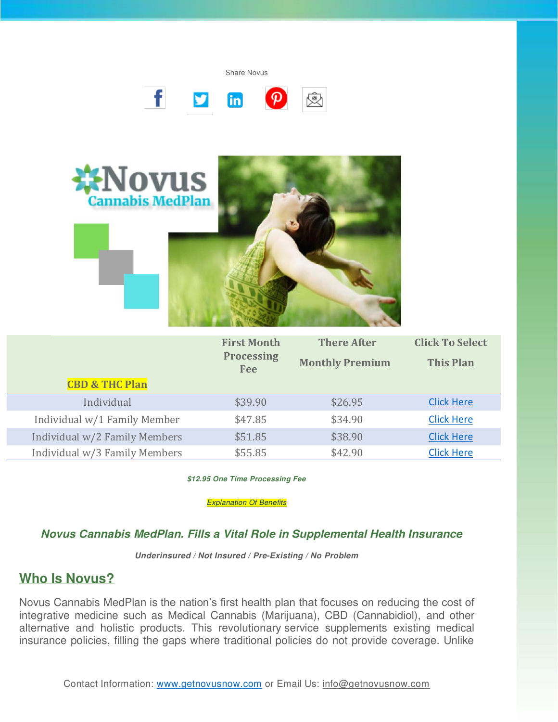Share Novus





|                               | <b>First Month</b>              | <b>There After</b>     | <b>Click To Select</b> |
|-------------------------------|---------------------------------|------------------------|------------------------|
|                               | <b>Processing</b><br><b>Fee</b> | <b>Monthly Premium</b> | <b>This Plan</b>       |
| <b>CBD &amp; THC Plan</b>     |                                 |                        |                        |
| Individual                    | \$39.90                         | \$26.95                | <b>Click Here</b>      |
| Individual w/1 Family Member  | \$47.85                         | \$34.90                | <b>Click Here</b>      |
| Individual w/2 Family Members | \$51.85                         | \$38.90                | <b>Click Here</b>      |
| Individual w/3 Family Members | \$55.85                         | \$42.90                | <b>Click Here</b>      |

**\$12.95 One Time Processing Fee** 

**[Explanation Of Benefits](https://www.getnovusnow.com/wp-content/uploads/2020/04/Explanation-of-Benefits-2020.pdf)** 

#### **Novus Cannabis MedPlan. Fills a Vital Role in Supplemental Health Insurance**

**Underinsured / Not Insured / Pre-Existing / No Problem** 

#### **Who Is Novus?**

Novus Cannabis MedPlan is the nation's first health plan that focuses on reducing the cost of integrative medicine such as Medical Cannabis (Marijuana), CBD (Cannabidiol), and other alternative and holistic products. This revolutionary service supplements existing medical insurance policies, filling the gaps where traditional policies do not provide coverage. Unlike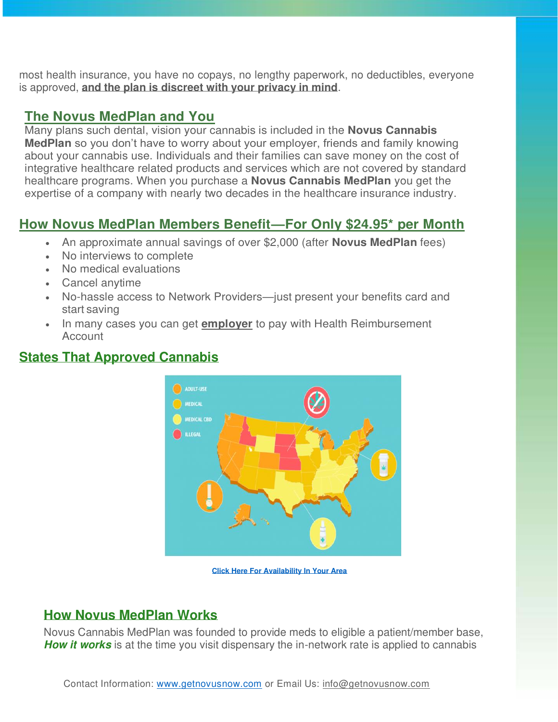most health insurance, you have no copays, no lengthy paperwork, no deductibles, everyone is approved, **and the plan is discreet with your privacy in mind**.

## **The Novus MedPlan and You**

Many plans such dental, vision your cannabis is included in the **Novus Cannabis MedPlan** so you don't have to worry about your employer, friends and family knowing about your cannabis use. Individuals and their families can save money on the cost of integrative healthcare related products and services which are not covered by standard healthcare programs. When you purchase a **Novus Cannabis MedPlan** you get the expertise of a company with nearly two decades in the healthcare insurance industry.

# **How Novus MedPlan Members Benefit—For Only \$24.95\* per Month**

- An approximate annual savings of over \$2,000 (after **Novus MedPlan** fees)
- No interviews to complete
- No medical evaluations
- Cancel anytime
- No-hassle access to Network Providers—just present your benefits card and start saving
- In many cases you can get **employer** to pay with Health Reimbursement **Account**



# **States That Approved Cannabis**

**[Click Here For Availability In Your Area](https://www.getnovusnow.com/availability-map-2/)** 

## **How Novus MedPlan Works**

Novus Cannabis MedPlan was founded to provide meds to eligible a patient/member base, **How it works** is at the time you visit dispensary the in-network rate is applied to cannabis